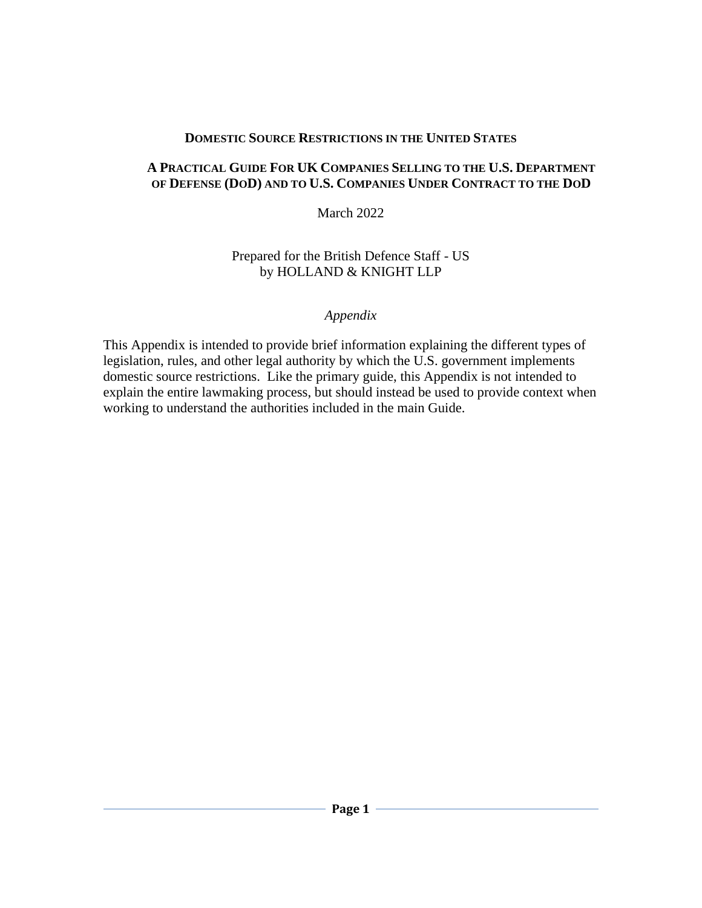#### **DOMESTIC SOURCE RESTRICTIONS IN THE UNITED STATES**

### **A PRACTICAL GUIDE FOR UK COMPANIES SELLING TO THE U.S. DEPARTMENT OF DEFENSE (DOD) AND TO U.S. COMPANIES UNDER CONTRACT TO THE DOD**

March 2022

### Prepared for the British Defence Staff - US by HOLLAND & KNIGHT LLP

### *Appendix*

This Appendix is intended to provide brief information explaining the different types of legislation, rules, and other legal authority by which the U.S. government implements domestic source restrictions. Like the primary guide, this Appendix is not intended to explain the entire lawmaking process, but should instead be used to provide context when working to understand the authorities included in the main Guide.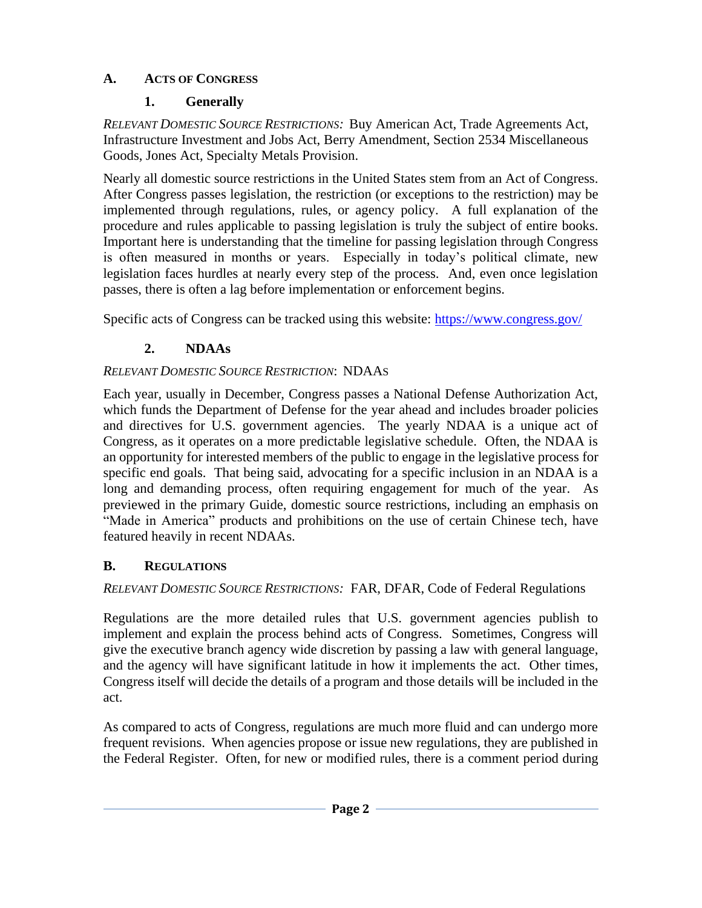## **A. ACTS OF CONGRESS**

## **1. Generally**

*RELEVANT DOMESTIC SOURCE RESTRICTIONS:* Buy American Act, Trade Agreements Act, Infrastructure Investment and Jobs Act, Berry Amendment, Section 2534 Miscellaneous Goods, Jones Act, Specialty Metals Provision.

Nearly all domestic source restrictions in the United States stem from an Act of Congress. After Congress passes legislation, the restriction (or exceptions to the restriction) may be implemented through regulations, rules, or agency policy. A full explanation of the procedure and rules applicable to passing legislation is truly the subject of entire books. Important here is understanding that the timeline for passing legislation through Congress is often measured in months or years. Especially in today's political climate, new legislation faces hurdles at nearly every step of the process. And, even once legislation passes, there is often a lag before implementation or enforcement begins.

Specific acts of Congress can be tracked using this website:<https://www.congress.gov/>

# **2. NDAAs**

# *RELEVANT DOMESTIC SOURCE RESTRICTION*: NDAAS

Each year, usually in December, Congress passes a National Defense Authorization Act, which funds the Department of Defense for the year ahead and includes broader policies and directives for U.S. government agencies. The yearly NDAA is a unique act of Congress, as it operates on a more predictable legislative schedule. Often, the NDAA is an opportunity for interested members of the public to engage in the legislative process for specific end goals. That being said, advocating for a specific inclusion in an NDAA is a long and demanding process, often requiring engagement for much of the year. As previewed in the primary Guide, domestic source restrictions, including an emphasis on "Made in America" products and prohibitions on the use of certain Chinese tech, have featured heavily in recent NDAAs.

## **B. REGULATIONS**

*RELEVANT DOMESTIC SOURCE RESTRICTIONS:* FAR, DFAR, Code of Federal Regulations

Regulations are the more detailed rules that U.S. government agencies publish to implement and explain the process behind acts of Congress. Sometimes, Congress will give the executive branch agency wide discretion by passing a law with general language, and the agency will have significant latitude in how it implements the act. Other times, Congress itself will decide the details of a program and those details will be included in the act.

As compared to acts of Congress, regulations are much more fluid and can undergo more frequent revisions. When agencies propose or issue new regulations, they are published in the Federal Register. Often, for new or modified rules, there is a comment period during